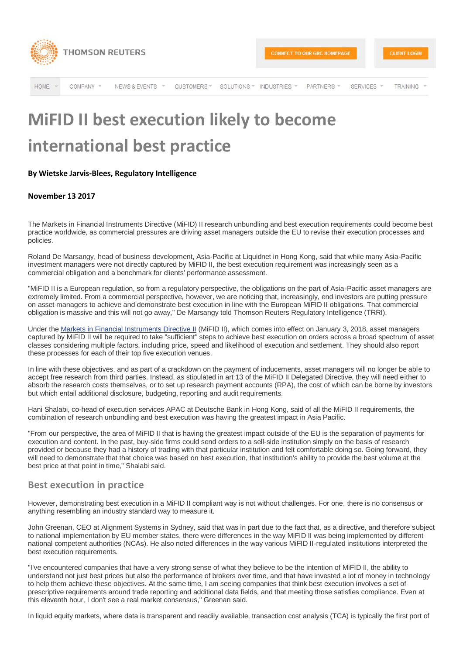

HOME COMPANY \* NEWS & EVENTS CUSTOMERS \* SOLUTIONS \* INDUSTRIES \* PARTNERS \* SERVICES \* **TRAINING** 

## **MiFID II best execution likely to become international best practice**

## **By Wietske Jarvis-Blees, Regulatory Intelligence**

## **November 13 2017**

The Markets in Financial Instruments Directive (MiFID) II research unbundling and best execution requirements could become best practice worldwide, as commercial pressures are driving asset managers outside the EU to revise their execution processes and policies.

Roland De Marsangy, head of business development, Asia-Pacific at Liquidnet in Hong Kong, said that while many Asia-Pacific investment managers were not directly captured by MiFID II, the best execution requirement was increasingly seen as a commercial obligation and a benchmark for clients' performance assessment.

"MiFID II is a European regulation, so from a regulatory perspective, the obligations on the part of Asia-Pacific asset managers are extremely limited. From a commercial perspective, however, we are noticing that, increasingly, end investors are putting pressure on asset managers to achieve and demonstrate best execution in line with the European MiFID II obligations. That commercial obligation is massive and this will not go away," De Marsangy told Thomson Reuters Regulatory Intelligence (TRRI).

Under the [Markets in Financial Instruments Directive II](http://www.complinet.com/global-rulebooks/display/display.html?rbid=1107&element_id=10737) (MiFID II), which comes into effect on January 3, 2018, asset managers captured by MiFID II will be required to take "sufficient" steps to achieve best execution on orders across a broad spectrum of asset classes considering multiple factors, including price, speed and likelihood of execution and settlement. They should also report these processes for each of their top five execution venues.

In line with these objectives, and as part of a crackdown on the payment of inducements, asset managers will no longer be able to accept free research from third parties. Instead, as stipulated in art 13 of the MiFID II Delegated Directive, they will need either to absorb the research costs themselves, or to set up research payment accounts (RPA), the cost of which can be borne by investors but which entail additional disclosure, budgeting, reporting and audit requirements.

Hani Shalabi, co-head of execution services APAC at Deutsche Bank in Hong Kong, said of all the MiFID II requirements, the combination of research unbundling and best execution was having the greatest impact in Asia Pacific.

"From our perspective, the area of MiFID II that is having the greatest impact outside of the EU is the separation of payments for execution and content. In the past, buy-side firms could send orders to a sell-side institution simply on the basis of research provided or because they had a history of trading with that particular institution and felt comfortable doing so. Going forward, they will need to demonstrate that that choice was based on best execution, that institution's ability to provide the best volume at the best price at that point in time," Shalabi said.

## **Best execution in practice**

However, demonstrating best execution in a MiFID II compliant way is not without challenges. For one, there is no consensus or anything resembling an industry standard way to measure it.

John Greenan, CEO at Alignment Systems in Sydney, said that was in part due to the fact that, as a directive, and therefore subject to national implementation by EU member states, there were differences in the way MiFID II was being implemented by different national competent authorities (NCAs). He also noted differences in the way various MiFID II-regulated institutions interpreted the best execution requirements.

"I've encountered companies that have a very strong sense of what they believe to be the intention of MiFID II, the ability to understand not just best prices but also the performance of brokers over time, and that have invested a lot of money in technology to help them achieve these objectives. At the same time, I am seeing companies that think best execution involves a set of prescriptive requirements around trade reporting and additional data fields, and that meeting those satisfies compliance. Even at this eleventh hour, I don't see a real market consensus," Greenan said.

In liquid equity markets, where data is transparent and readily available, transaction cost analysis (TCA) is typically the first port of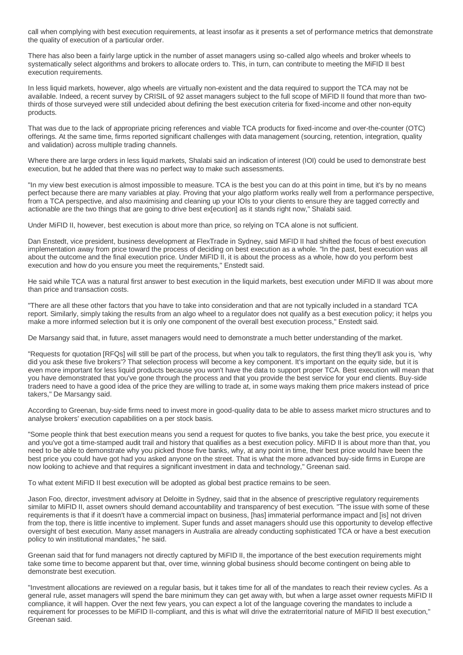call when complying with best execution requirements, at least insofar as it presents a set of performance metrics that demonstrate the quality of execution of a particular order.

There has also been a fairly large uptick in the number of asset managers using so-called algo wheels and broker wheels to systematically select algorithms and brokers to allocate orders to. This, in turn, can contribute to meeting the MiFID II best execution requirements.

In less liquid markets, however, algo wheels are virtually non-existent and the data required to support the TCA may not be available. Indeed, a recent survey by CRISIL of 92 asset managers subject to the full scope of MiFID II found that more than twothirds of those surveyed were still undecided about defining the best execution criteria for fixed-income and other non-equity products.

That was due to the lack of appropriate pricing references and viable TCA products for fixed-income and over-the-counter (OTC) offerings. At the same time, firms reported significant challenges with data management (sourcing, retention, integration, quality and validation) across multiple trading channels.

Where there are large orders in less liquid markets, Shalabi said an indication of interest (IOI) could be used to demonstrate best execution, but he added that there was no perfect way to make such assessments.

"In my view best execution is almost impossible to measure. TCA is the best you can do at this point in time, but it's by no means perfect because there are many variables at play. Proving that your algo platform works really well from a performance perspective, from a TCA perspective, and also maximising and cleaning up your IOIs to your clients to ensure they are tagged correctly and actionable are the two things that are going to drive best ex[ecution] as it stands right now," Shalabi said.

Under MiFID II, however, best execution is about more than price, so relying on TCA alone is not sufficient.

Dan Enstedt, vice president, business development at FlexTrade in Sydney, said MiFID II had shifted the focus of best execution implementation away from price toward the process of deciding on best execution as a whole. "In the past, best execution was all about the outcome and the final execution price. Under MiFID II, it is about the process as a whole, how do you perform best execution and how do you ensure you meet the requirements," Enstedt said.

He said while TCA was a natural first answer to best execution in the liquid markets, best execution under MiFID II was about more than price and transaction costs.

"There are all these other factors that you have to take into consideration and that are not typically included in a standard TCA report. Similarly, simply taking the results from an algo wheel to a regulator does not qualify as a best execution policy; it helps you make a more informed selection but it is only one component of the overall best execution process," Enstedt said.

De Marsangy said that, in future, asset managers would need to demonstrate a much better understanding of the market.

"Requests for quotation [RFQs] will still be part of the process, but when you talk to regulators, the first thing they'll ask you is, 'why did you ask these five brokers'? That selection process will become a key component. It's important on the equity side, but it is even more important for less liquid products because you won't have the data to support proper TCA. Best execution will mean that you have demonstrated that you've gone through the process and that you provide the best service for your end clients. Buy-side traders need to have a good idea of the price they are willing to trade at, in some ways making them price makers instead of price takers," De Marsangy said.

According to Greenan, buy-side firms need to invest more in good-quality data to be able to assess market micro structures and to analyse brokers' execution capabilities on a per stock basis.

"Some people think that best execution means you send a request for quotes to five banks, you take the best price, you execute it and you've got a time-stamped audit trail and history that qualifies as a best execution policy. MiFID II is about more than that, you need to be able to demonstrate why you picked those five banks, why, at any point in time, their best price would have been the best price you could have got had you asked anyone on the street. That is what the more advanced buy-side firms in Europe are now looking to achieve and that requires a significant investment in data and technology," Greenan said.

To what extent MiFID II best execution will be adopted as global best practice remains to be seen.

Jason Foo, director, investment advisory at Deloitte in Sydney, said that in the absence of prescriptive regulatory requirements similar to MiFID II, asset owners should demand accountability and transparency of best execution. "The issue with some of these requirements is that if it doesn't have a commercial impact on business, [has] immaterial performance impact and [is] not driven from the top, there is little incentive to implement. Super funds and asset managers should use this opportunity to develop effective oversight of best execution. Many asset managers in Australia are already conducting sophisticated TCA or have a best execution policy to win institutional mandates," he said.

Greenan said that for fund managers not directly captured by MiFID II, the importance of the best execution requirements might take some time to become apparent but that, over time, winning global business should become contingent on being able to demonstrate best execution.

"Investment allocations are reviewed on a regular basis, but it takes time for all of the mandates to reach their review cycles. As a general rule, asset managers will spend the bare minimum they can get away with, but when a large asset owner requests MiFID II compliance, it will happen. Over the next few years, you can expect a lot of the language covering the mandates to include a requirement for processes to be MiFID II-compliant, and this is what will drive the extraterritorial nature of MiFID II best execution," Greenan said.